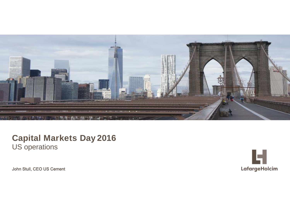

## **Capital Markets Day 2016** US operations

John Stull, CEO US Cement

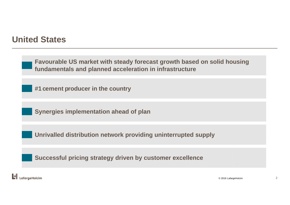# **United States**

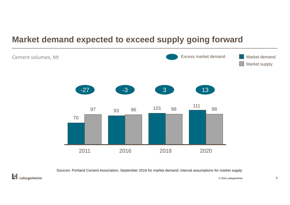# **Market demand expected to exceed supply going forward**



Sources: Portland Cement Association, September 2016 for market demand; internal assumptions for market supply



© 2016 LafargeHolcim 3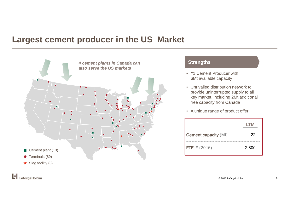# **Largest cement producer in the US Market**



#### **Strengths**

- #1 Cement Producer with 6Mt available capacity
- Unrivalled distribution network to provide uninterrupted supply to all key market, including 2Mt additional free capacity from Canada
- A unique range of product offer

|                             | I TM  |
|-----------------------------|-------|
| <b>Cement capacity (Mt)</b> | 22    |
| $\textsf{FTE} \# (2016)$    | 2,800 |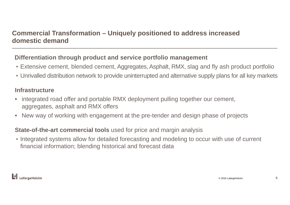## **Commercial Transformation – Uniquely positioned to address increased domestic demand**

## **Differentiation through product and service portfolio management**

- Extensive cement, blended cement, Aggregates, Asphalt, RMX, slag and fly ash product portfolio
- Unrivalled distribution network to provide uninterrupted and alternative supply plans for all key markets

### **Infrastructure**

- • integrated road offer and portable RMX deployment pulling together our cement, aggregates, asphalt and RMX offers
- •New way of working with engagement at the pre-tender and design phase of projects

### **State-of-the-art commercial tools** used for price and margin analysis

• Integrated systems allow for detailed forecasting and modeling to occur with use of current financial information; blending historical and forecast data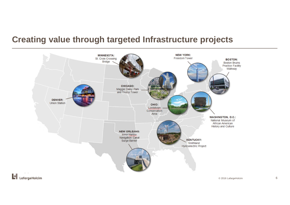# **Creating value through targeted Infrastructure projects**

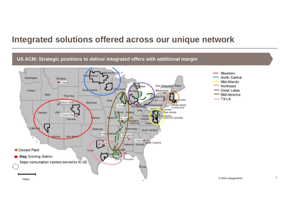## **Integrated solutions offered across our unique network**

#### **US ACM: Strategic positions to deliver integrated offers with additional margin** Mountain innesota North Central Washington Montana Mid-Atlantic Trident Northeast New Hampshire Maine South Dakota *<u>Connei</u>* **Great Lakes** Oregon Whitehall Mid-America Idaho Wyoming  $\overline{\phantom{a}}$  TX-LA setts lowa. Ravena Devil's Slide Nebraska Rhode Island ennsylvania Chicago Paulding Connecticut Hager Camden Ohio Nevada Utah **Hinois** New Jersey Indiana Portland Plan Delaware<br>Dristrict of Columbia West. lansas **MESOLIT** St. Ger Joppa Virginia Colorado Virginia. Califor Oklahoma *ernessee* North Carolina  $+A<sub>ds</sub>$ Arkansa! Birmingham New Me Arizona Holy Hart South Carolina  $M$  dioth Alabama Georgia Cement Plant Te as **Slag Grinding Station** Theodore Major consumption centers served by AI US  $\sqrt{ }$ Florida © 2016 LafargeHolcim500km

7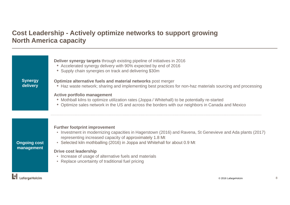## **Cost Leadership - Actively optimize networks to support growing North America capacity**

|                            | <b>Deliver synergy targets</b> through existing pipeline of initiatives in 2016<br>• Accelerated synergy delivery with 90% expected by end of 2016<br>Supply chain synergies on track and delivering \$30m                                                                                  |
|----------------------------|---------------------------------------------------------------------------------------------------------------------------------------------------------------------------------------------------------------------------------------------------------------------------------------------|
| <b>Synergy</b><br>delivery | Optimize alternative fuels and material networks post merger<br>• Haz waste network; sharing and implementing best practices for non-haz materials sourcing and processing                                                                                                                  |
| <b>Ongoing cost</b>        | <b>Active portfolio management</b><br>• Mothball kilns to optimize utilization rates (Joppa / Whitehall) to be potentially re-started<br>• Optimize sales network in the US and across the borders with our neighbors in Canada and Mexico                                                  |
|                            | <b>Further footprint improvement</b><br>• Investment in modernizing capacities in Hagerstown (2016) and Ravena, St Genevieve and Ada plants (2017)<br>representing increased capacity of approximately 1.8 Mt<br>• Selected kiln mothballing (2016) in Joppa and Whitehall for about 0.9 Mt |
| management                 | <b>Drive cost leadership</b><br>• Increase of usage of alternative fuels and materials<br>• Replace uncertainty of traditional fuel pricing                                                                                                                                                 |
| 'araeHolcim                | © 2016 LafargeHolcim                                                                                                                                                                                                                                                                        |